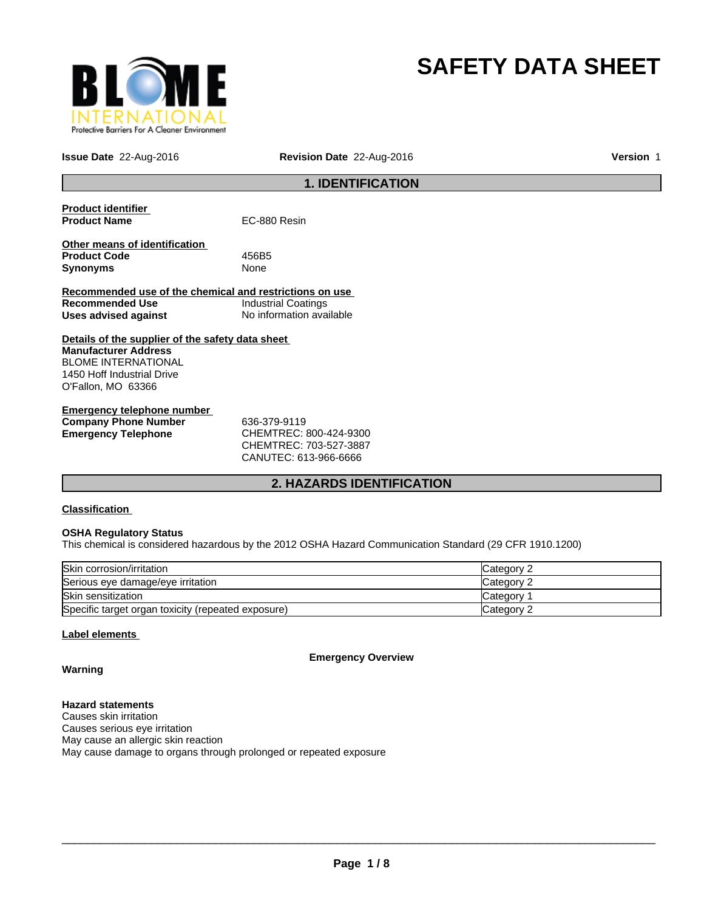

# **SAFETY DATA SHEET**

**Issue Date** 22-Aug-2016

**Revision Date** 22-Aug-2016 **Version** 1

# **1. IDENTIFICATION**

| <b>Product identifier</b>                               |                            |  |  |
|---------------------------------------------------------|----------------------------|--|--|
| <b>Product Name</b>                                     | EC-880 Resin               |  |  |
|                                                         |                            |  |  |
| Other means of identification                           |                            |  |  |
| <b>Product Code</b>                                     | 456B5                      |  |  |
| <b>Synonyms</b>                                         | None                       |  |  |
|                                                         |                            |  |  |
| Recommended use of the chemical and restrictions on use |                            |  |  |
| Recommended Use                                         | <b>Industrial Coatings</b> |  |  |
| Uses advised against                                    | No information available   |  |  |
|                                                         |                            |  |  |
| Details of the supplier of the safety data sheet        |                            |  |  |
| <b>Manufacturer Address</b>                             |                            |  |  |
| <b>BLOME INTERNATIONAL</b>                              |                            |  |  |
| 1450 Hoff Industrial Drive                              |                            |  |  |
| O'Fallon, MO 63366                                      |                            |  |  |
|                                                         |                            |  |  |
|                                                         |                            |  |  |

| Emergency telephone number  |                            |
|-----------------------------|----------------------------|
| <b>Company Phone Number</b> | 636-379-9119               |
| Emergency Telephone         | CHEMTREC: 800-424-9300     |
|                             | CUTEM T D E C·702 E27 2007 |

CHEMTREC: 703-527-3887 CANUTEC: 613-966-6666

# **2. HAZARDS IDENTIFICATION**

# **Classification**

# **OSHA Regulatory Status**

This chemical is considered hazardous by the 2012 OSHA Hazard Communication Standard (29 CFR 1910.1200)

| Skin corrosion/irritation                          | Category 2 |
|----------------------------------------------------|------------|
| Serious eye damage/eye irritation                  | Category 2 |
| <b>Skin sensitization</b>                          | Category   |
| Specific target organ toxicity (repeated exposure) | Category 2 |

# **Label elements**

**Emergency Overview**

# **Warning**

# **Hazard statements**

Causes skin irritation Causes serious eye irritation May cause an allergic skin reaction May cause damage to organs through prolonged or repeated exposure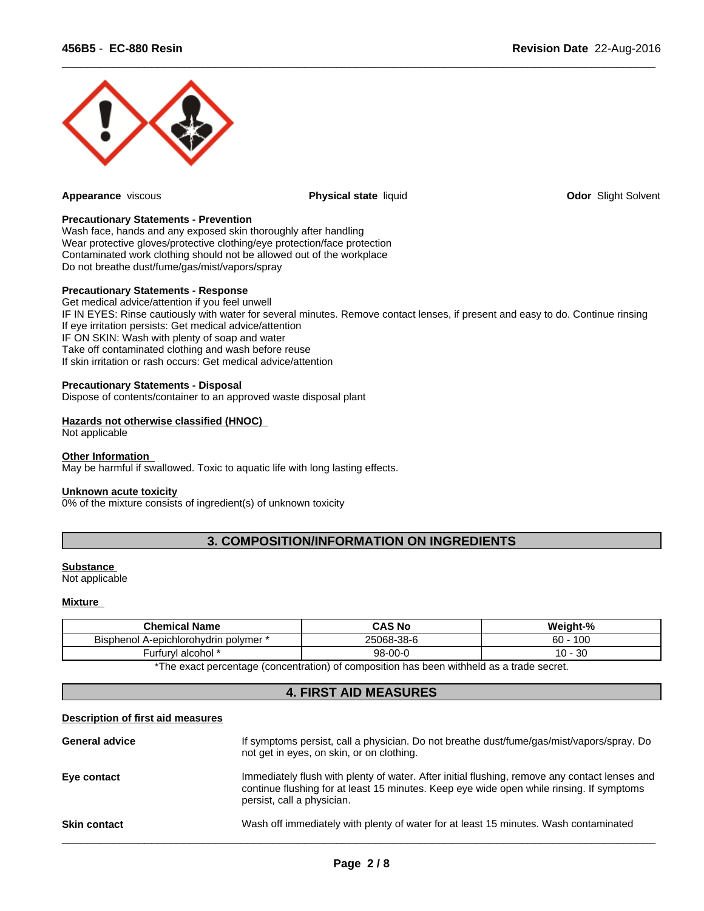

**Appearance** viscous **Physical state** liquid **Odor** Slight Solvent

 $\overline{\phantom{a}}$  ,  $\overline{\phantom{a}}$  ,  $\overline{\phantom{a}}$  ,  $\overline{\phantom{a}}$  ,  $\overline{\phantom{a}}$  ,  $\overline{\phantom{a}}$  ,  $\overline{\phantom{a}}$  ,  $\overline{\phantom{a}}$  ,  $\overline{\phantom{a}}$  ,  $\overline{\phantom{a}}$  ,  $\overline{\phantom{a}}$  ,  $\overline{\phantom{a}}$  ,  $\overline{\phantom{a}}$  ,  $\overline{\phantom{a}}$  ,  $\overline{\phantom{a}}$  ,  $\overline{\phantom{a}}$ 

#### **Precautionary Statements - Prevention**

Wash face, hands and any exposed skin thoroughly after handling Wear protective gloves/protective clothing/eye protection/face protection Contaminated work clothing should not be allowed out of the workplace Do not breathe dust/fume/gas/mist/vapors/spray

#### **Precautionary Statements - Response**

Get medical advice/attention if you feel unwell IF IN EYES: Rinse cautiously with water for several minutes. Remove contact lenses, if present and easy to do. Continue rinsing If eye irritation persists: Get medical advice/attention IF ON SKIN: Wash with plenty of soap and water Take off contaminated clothing and wash before reuse If skin irritation or rash occurs: Get medical advice/attention

#### **Precautionary Statements - Disposal**

Dispose of contents/container to an approved waste disposal plant

# **Hazards not otherwise classified (HNOC)**

Not applicable

# **Other Information**

May be harmful if swallowed. Toxic to aquatic life with long lasting effects.

#### **Unknown acute toxicity**

0% of the mixture consists of ingredient(s) of unknown toxicity

# **3. COMPOSITION/INFORMATION ON INGREDIENTS**

#### **Substance**

Not applicable

# **Mixture**

| <b>Chemical Name</b>                            | <b>CAS No</b> | Weiaht-%  |
|-------------------------------------------------|---------------|-----------|
| <b>Bisphenol</b><br>* A-epichlorohydrin polymer | ~5068-38-6    | 100<br>60 |
| alcohol *<br>.turv'<br>٠ur                      | $98 - 00 - 0$ | 30<br>U   |

\*The exact percentage (concentration) of composition has been withheld as a trade secret.

# **4. FIRST AID MEASURES**

# **Description of first aid measures**

| <b>General advice</b> | If symptoms persist, call a physician. Do not breathe dust/fume/gas/mist/vapors/spray. Do<br>not get in eyes, on skin, or on clothing.                                                                                  |
|-----------------------|-------------------------------------------------------------------------------------------------------------------------------------------------------------------------------------------------------------------------|
| Eye contact           | Immediately flush with plenty of water. After initial flushing, remove any contact lenses and<br>continue flushing for at least 15 minutes. Keep eye wide open while rinsing. If symptoms<br>persist, call a physician. |
| <b>Skin contact</b>   | Wash off immediately with plenty of water for at least 15 minutes. Wash contaminated                                                                                                                                    |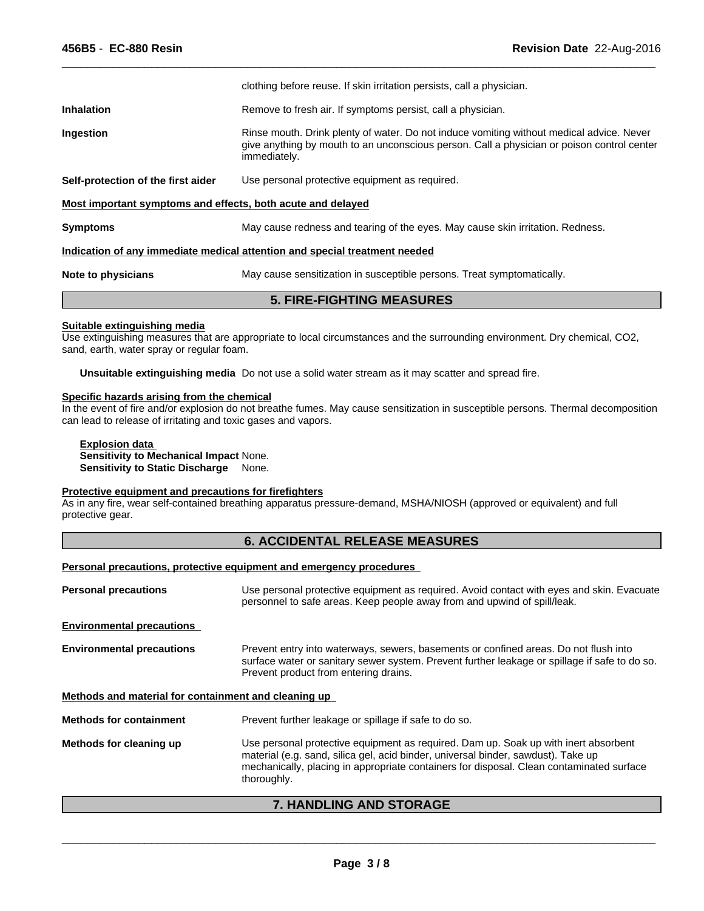|                                                                            | clothing before reuse. If skin irritation persists, call a physician.                                                                                                                                  |  |  |
|----------------------------------------------------------------------------|--------------------------------------------------------------------------------------------------------------------------------------------------------------------------------------------------------|--|--|
| <b>Inhalation</b>                                                          | Remove to fresh air. If symptoms persist, call a physician.                                                                                                                                            |  |  |
| Ingestion                                                                  | Rinse mouth. Drink plenty of water. Do not induce vomiting without medical advice. Never<br>give anything by mouth to an unconscious person. Call a physician or poison control center<br>immediately. |  |  |
| Self-protection of the first aider                                         | Use personal protective equipment as required.                                                                                                                                                         |  |  |
| Most important symptoms and effects, both acute and delayed                |                                                                                                                                                                                                        |  |  |
| <b>Symptoms</b>                                                            | May cause redness and tearing of the eyes. May cause skin irritation. Redness.                                                                                                                         |  |  |
| Indication of any immediate medical attention and special treatment needed |                                                                                                                                                                                                        |  |  |
| Note to physicians                                                         | May cause sensitization in susceptible persons. Treat symptomatically.                                                                                                                                 |  |  |

 $\overline{\phantom{a}}$  ,  $\overline{\phantom{a}}$  ,  $\overline{\phantom{a}}$  ,  $\overline{\phantom{a}}$  ,  $\overline{\phantom{a}}$  ,  $\overline{\phantom{a}}$  ,  $\overline{\phantom{a}}$  ,  $\overline{\phantom{a}}$  ,  $\overline{\phantom{a}}$  ,  $\overline{\phantom{a}}$  ,  $\overline{\phantom{a}}$  ,  $\overline{\phantom{a}}$  ,  $\overline{\phantom{a}}$  ,  $\overline{\phantom{a}}$  ,  $\overline{\phantom{a}}$  ,  $\overline{\phantom{a}}$ 

**Suitable extinguishing media** Use extinguishing measures that are appropriate to local circumstances and the surrounding environment. Dry chemical, CO2, sand, earth, water spray or regular foam.

**5. FIRE-FIGHTING MEASURES**

**Unsuitable extinguishing media** Do not use a solid water stream as it may scatter and spread fire.

#### **Specific hazards arising from the chemical**

In the event of fire and/or explosion do not breathe fumes. May cause sensitization in susceptible persons. Thermal decomposition can lead to release of irritating and toxic gases and vapors.

# **Explosion data**

**Sensitivity to Mechanical Impact** None. **Sensitivity to Static Discharge** None.

#### **Protective equipment and precautions for firefighters**

As in any fire, wear self-contained breathing apparatus pressure-demand, MSHA/NIOSH (approved or equivalent) and full protective gear.

# **6. ACCIDENTAL RELEASE MEASURES**

#### **Personal precautions, protective equipment and emergency procedures**

| Use personal protective equipment as required. Avoid contact with eyes and skin. Evacuate<br>personnel to safe areas. Keep people away from and upwind of spill/leak.                                                                                                               |
|-------------------------------------------------------------------------------------------------------------------------------------------------------------------------------------------------------------------------------------------------------------------------------------|
|                                                                                                                                                                                                                                                                                     |
| Prevent entry into waterways, sewers, basements or confined areas. Do not flush into<br>surface water or sanitary sewer system. Prevent further leakage or spillage if safe to do so.<br>Prevent product from entering drains.                                                      |
| Methods and material for containment and cleaning up                                                                                                                                                                                                                                |
| Prevent further leakage or spillage if safe to do so.                                                                                                                                                                                                                               |
| Use personal protective equipment as required. Dam up. Soak up with inert absorbent<br>material (e.g. sand, silica gel, acid binder, universal binder, sawdust). Take up<br>mechanically, placing in appropriate containers for disposal. Clean contaminated surface<br>thoroughly. |
|                                                                                                                                                                                                                                                                                     |

# **7. HANDLING AND STORAGE**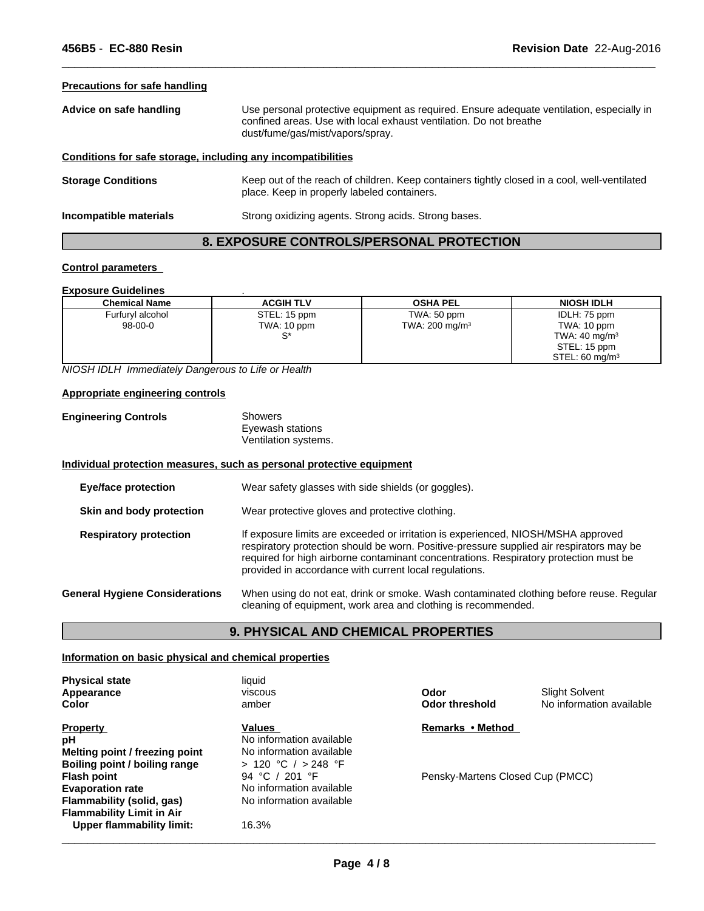# **Precautions for safe handling**

| Advice on safe handling                                      | Use personal protective equipment as required. Ensure adequate ventilation, especially in<br>confined areas. Use with local exhaust ventilation. Do not breathe<br>dust/fume/gas/mist/vapors/spray. |  |
|--------------------------------------------------------------|-----------------------------------------------------------------------------------------------------------------------------------------------------------------------------------------------------|--|
| Conditions for safe storage, including any incompatibilities |                                                                                                                                                                                                     |  |
| <b>Storage Conditions</b>                                    | Keep out of the reach of children. Keep containers tightly closed in a cool, well-ventilated<br>place. Keep in properly labeled containers.                                                         |  |
| Incompatible materials                                       | Strong oxidizing agents. Strong acids. Strong bases.                                                                                                                                                |  |

 $\overline{\phantom{a}}$  ,  $\overline{\phantom{a}}$  ,  $\overline{\phantom{a}}$  ,  $\overline{\phantom{a}}$  ,  $\overline{\phantom{a}}$  ,  $\overline{\phantom{a}}$  ,  $\overline{\phantom{a}}$  ,  $\overline{\phantom{a}}$  ,  $\overline{\phantom{a}}$  ,  $\overline{\phantom{a}}$  ,  $\overline{\phantom{a}}$  ,  $\overline{\phantom{a}}$  ,  $\overline{\phantom{a}}$  ,  $\overline{\phantom{a}}$  ,  $\overline{\phantom{a}}$  ,  $\overline{\phantom{a}}$ 

# **8. EXPOSURE CONTROLS/PERSONAL PROTECTION**

# **Control parameters**

#### **Exposure Guidelines** . **Chemical Name ACGIH TLV OSHA PEL NIOSH IDLH** Furfuryl alcohol 98-00-0 STEL: 15 ppm<br>TWA: 10 ppm TWA: 10 ppm TWA: 200 mg/m<sup>3</sup> S\* TWA: 50 ppm IDLH: 75 ppm TWA: 10 ppm TWA: 40 mg/m<sup>3</sup> STEL: 15 ppm  $STEL: 60 \text{ mg/m}^3$

*NIOSH IDLH Immediately Dangerous to Life or Health*

## **Appropriate engineering controls**

| <b>Engineering Controls</b> | Showers              |
|-----------------------------|----------------------|
|                             | Eyewash stations     |
|                             | Ventilation systems. |

#### **Individual protection measures, such as personal protective equipment**

| <b>Eye/face protection</b>            | Wear safety glasses with side shields (or goggles).                                                                                                                                                                                                                                                                              |
|---------------------------------------|----------------------------------------------------------------------------------------------------------------------------------------------------------------------------------------------------------------------------------------------------------------------------------------------------------------------------------|
| Skin and body protection              | Wear protective gloves and protective clothing.                                                                                                                                                                                                                                                                                  |
| <b>Respiratory protection</b>         | If exposure limits are exceeded or irritation is experienced, NIOSH/MSHA approved<br>respiratory protection should be worn. Positive-pressure supplied air respirators may be<br>required for high airborne contaminant concentrations. Respiratory protection must be<br>provided in accordance with current local regulations. |
| <b>General Hygiene Considerations</b> | When using do not eat, drink or smoke. Wash contaminated clothing before reuse. Regular<br>cleaning of equipment, work area and clothing is recommended.                                                                                                                                                                         |

# **9. PHYSICAL AND CHEMICAL PROPERTIES**

# **Information on basic physical and chemical properties**

| <b>Physical state</b><br>Appearance<br>Color | liquid<br>viscous<br>amber | Odor<br>Odor threshold           | <b>Slight Solvent</b><br>No information available |
|----------------------------------------------|----------------------------|----------------------------------|---------------------------------------------------|
| <b>Property</b>                              | Values                     | Remarks • Method                 |                                                   |
| рH                                           | No information available   |                                  |                                                   |
| Melting point / freezing point               | No information available   |                                  |                                                   |
| Boiling point / boiling range                | > 120 °C / > 248 °F        |                                  |                                                   |
| <b>Flash point</b>                           | 94 °C / 201 °F             | Pensky-Martens Closed Cup (PMCC) |                                                   |
| <b>Evaporation rate</b>                      | No information available   |                                  |                                                   |
| Flammability (solid, gas)                    | No information available   |                                  |                                                   |
| <b>Flammability Limit in Air</b>             |                            |                                  |                                                   |
| Upper flammability limit:                    | 16.3%                      |                                  |                                                   |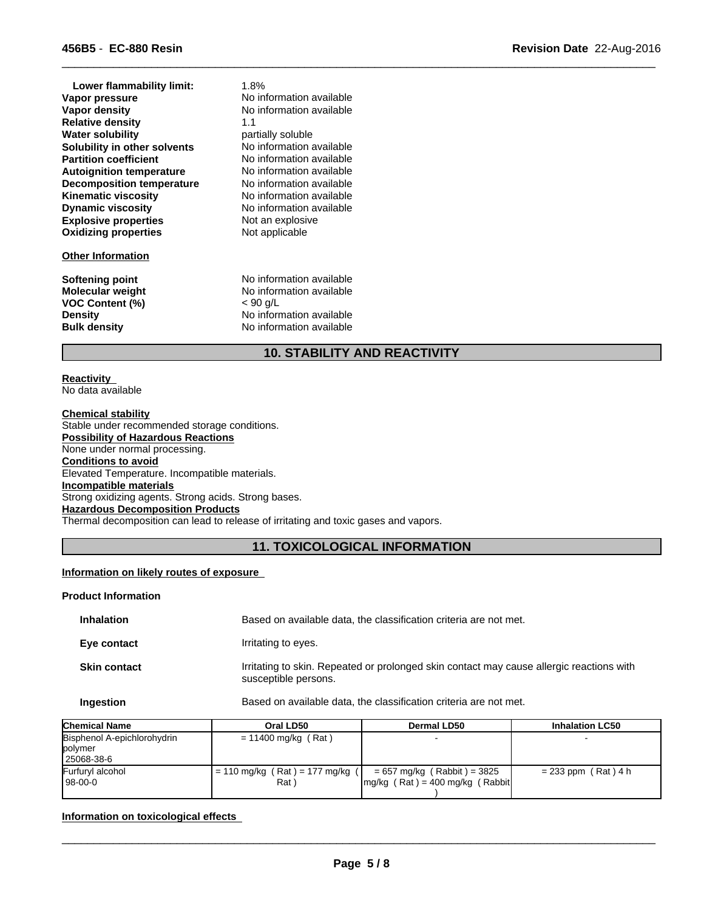| Lower flammability limit:        | 1.8%                     |
|----------------------------------|--------------------------|
| Vapor pressure                   | No information available |
| Vapor density                    | No information available |
| <b>Relative density</b>          | 1.1                      |
| <b>Water solubility</b>          | partially soluble        |
| Solubility in other solvents     | No information available |
| <b>Partition coefficient</b>     | No information available |
| <b>Autoignition temperature</b>  | No information available |
| <b>Decomposition temperature</b> | No information available |
| <b>Kinematic viscosity</b>       | No information available |
| <b>Dynamic viscosity</b>         | No information available |
| <b>Explosive properties</b>      | Not an explosive         |
| <b>Oxidizing properties</b>      | Not applicable           |
| <b>Other Information</b>         |                          |
| Softening point                  | No information available |
| <b>Molecular weight</b>          | No information available |
| <b>VOC Content (%)</b>           | < 90 q/L                 |
| <b>Density</b>                   | No information available |
| <b>Bulk density</b>              | No information available |

# **10. STABILITY AND REACTIVITY**

 $\overline{\phantom{a}}$  ,  $\overline{\phantom{a}}$  ,  $\overline{\phantom{a}}$  ,  $\overline{\phantom{a}}$  ,  $\overline{\phantom{a}}$  ,  $\overline{\phantom{a}}$  ,  $\overline{\phantom{a}}$  ,  $\overline{\phantom{a}}$  ,  $\overline{\phantom{a}}$  ,  $\overline{\phantom{a}}$  ,  $\overline{\phantom{a}}$  ,  $\overline{\phantom{a}}$  ,  $\overline{\phantom{a}}$  ,  $\overline{\phantom{a}}$  ,  $\overline{\phantom{a}}$  ,  $\overline{\phantom{a}}$ 

#### **Reactivity**  No data available

**Chemical stability** Stable under recommended storage conditions. **Possibility of Hazardous Reactions** None under normal processing. **Conditions to avoid** Elevated Temperature. Incompatible materials. **Incompatible materials** Strong oxidizing agents. Strong acids. Strong bases. **Hazardous Decomposition Products** Thermal decomposition can lead to release of irritating and toxic gases and vapors.

# **11. TOXICOLOGICAL INFORMATION**

# **Information on likely routes of exposure**

# **Product Information**

| <b>Inhalation</b>   | Based on available data, the classification criteria are not met.                                                |
|---------------------|------------------------------------------------------------------------------------------------------------------|
| Eye contact         | Irritating to eyes.                                                                                              |
| <b>Skin contact</b> | Irritating to skin. Repeated or prolonged skin contact may cause allergic reactions with<br>susceptible persons. |
| Ingestion           | Based on available data, the classification criteria are not met.                                                |

| <b>Chemical Name</b>        | Oral LD50                         | <b>Dermal LD50</b>                               | <b>Inhalation LC50</b> |
|-----------------------------|-----------------------------------|--------------------------------------------------|------------------------|
| Bisphenol A-epichlorohydrin | $= 11400$ mg/kg (Rat)             |                                                  |                        |
| polymer                     |                                   |                                                  |                        |
| 25068-38-6                  |                                   |                                                  |                        |
| Furfuryl alcohol            | = 110 mg/kg ( Rat ) = 177 mg/kg ( | $= 657$ mg/kg (Rabbit) = 3825                    | $= 233$ ppm (Rat) 4 h  |
| 98-00-0                     | Rat)                              | $\text{Im}q/\text{kg}$ (Rat) = 400 mg/kg (Rabbit |                        |
|                             |                                   |                                                  |                        |

# **Information on toxicological effects**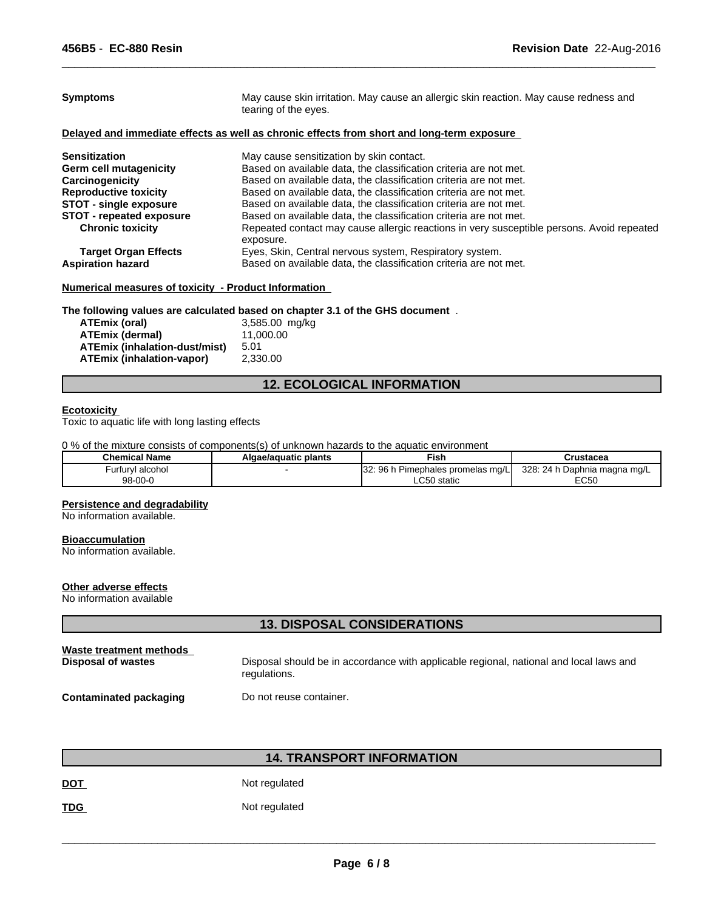| <b>Symptoms</b>                 | May cause skin irritation. May cause an allergic skin reaction. May cause redness and<br>tearing of the eyes. |  |  |
|---------------------------------|---------------------------------------------------------------------------------------------------------------|--|--|
|                                 | Delayed and immediate effects as well as chronic effects from short and long-term exposure                    |  |  |
| <b>Sensitization</b>            | May cause sensitization by skin contact.                                                                      |  |  |
| <b>Germ cell mutagenicity</b>   | Based on available data, the classification criteria are not met.                                             |  |  |
| Carcinogenicity                 | Based on available data, the classification criteria are not met.                                             |  |  |
| <b>Reproductive toxicity</b>    | Based on available data, the classification criteria are not met.                                             |  |  |
| <b>STOT - single exposure</b>   | Based on available data, the classification criteria are not met.                                             |  |  |
| <b>STOT - repeated exposure</b> | Based on available data, the classification criteria are not met.                                             |  |  |
| <b>Chronic toxicity</b>         | Repeated contact may cause allergic reactions in very susceptible persons. Avoid repeated<br>exposure.        |  |  |
| <b>Target Organ Effects</b>     | Eyes, Skin, Central nervous system, Respiratory system.                                                       |  |  |
| <b>Aspiration hazard</b>        | Based on available data, the classification criteria are not met.                                             |  |  |

 $\overline{\phantom{a}}$  ,  $\overline{\phantom{a}}$  ,  $\overline{\phantom{a}}$  ,  $\overline{\phantom{a}}$  ,  $\overline{\phantom{a}}$  ,  $\overline{\phantom{a}}$  ,  $\overline{\phantom{a}}$  ,  $\overline{\phantom{a}}$  ,  $\overline{\phantom{a}}$  ,  $\overline{\phantom{a}}$  ,  $\overline{\phantom{a}}$  ,  $\overline{\phantom{a}}$  ,  $\overline{\phantom{a}}$  ,  $\overline{\phantom{a}}$  ,  $\overline{\phantom{a}}$  ,  $\overline{\phantom{a}}$ 

# **Numerical measures of toxicity - Product Information**

# **The following values are calculated based on chapter 3.1 of the GHS document** .

| ATEmix (oral)                 | 3,585.00 mg/kg |
|-------------------------------|----------------|
| ATEmix (dermal)               | 11.000.00      |
| ATEmix (inhalation-dust/mist) | 5.01           |
| ATEmix (inhalation-vapor)     | 2.330.00       |

# **12. ECOLOGICAL INFORMATION**

# **Ecotoxicity**

Toxic to aquatic life with long lasting effects

0 % of the mixture consists of components(s) of unknown hazards to the aquatic environment

| <b>Chemical Name</b> | Algae/aguatic plants | ™isi.                                             | Crustacea                                                    |  |
|----------------------|----------------------|---------------------------------------------------|--------------------------------------------------------------|--|
| urfurvl alcohol      |                      | הפי<br>96 l<br>. Pimephales promelas mg/LI<br>J۵. | 328:<br>$\sim$ $\sim$ $\sim$<br>Daphnia magna mg/L<br>. 24 P |  |
| 98-00-0              |                      | ∴ ∩ Static                                        | roro<br>- 1<br>∟∪∪                                           |  |

#### **Persistence and degradability**

No information available.

#### **Bioaccumulation**

No information available.

#### **Other adverse effects**

No information available

# **13. DISPOSAL CONSIDERATIONS**

| Waste treatment methods | Disposal should be in accordance with applicable regional, national and local laws and |
|-------------------------|----------------------------------------------------------------------------------------|
| Disposal of wastes      | regulations.                                                                           |
| Contaminated packaging  | Do not reuse container.                                                                |

# **14. TRANSPORT INFORMATION**

DOT Not regulated

**TDG** Not regulated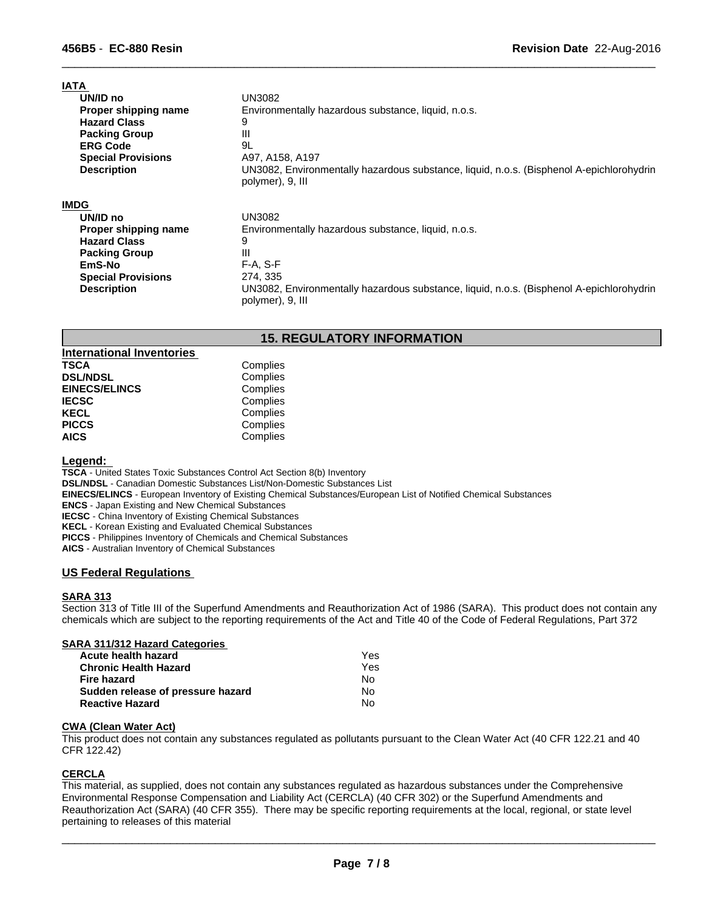| <b>IATA</b>               |                                                                                                              |
|---------------------------|--------------------------------------------------------------------------------------------------------------|
| UN/ID no                  | UN3082                                                                                                       |
| Proper shipping name      | Environmentally hazardous substance, liquid, n.o.s.                                                          |
| <b>Hazard Class</b>       | 9                                                                                                            |
| <b>Packing Group</b>      | Ш                                                                                                            |
| <b>ERG Code</b>           | 9L                                                                                                           |
| <b>Special Provisions</b> | A97, A158, A197                                                                                              |
| <b>Description</b>        | UN3082, Environmentally hazardous substance, liquid, n.o.s. (Bisphenol A-epichlorohydrin<br>polymer), 9, III |
| <b>IMDG</b>               |                                                                                                              |
| UN/ID no                  | UN3082                                                                                                       |
| Proper shipping name      | Environmentally hazardous substance, liquid, n.o.s.                                                          |
| <b>Hazard Class</b>       | 9                                                                                                            |
| <b>Packing Group</b>      | Ш                                                                                                            |
| EmS-No                    | $F-A, S-F$                                                                                                   |
| <b>Special Provisions</b> | 274, 335                                                                                                     |
| <b>Description</b>        | UN3082, Environmentally hazardous substance, liquid, n.o.s. (Bisphenol A-epichlorohydrin<br>polymer), 9, III |

 $\overline{\phantom{a}}$  ,  $\overline{\phantom{a}}$  ,  $\overline{\phantom{a}}$  ,  $\overline{\phantom{a}}$  ,  $\overline{\phantom{a}}$  ,  $\overline{\phantom{a}}$  ,  $\overline{\phantom{a}}$  ,  $\overline{\phantom{a}}$  ,  $\overline{\phantom{a}}$  ,  $\overline{\phantom{a}}$  ,  $\overline{\phantom{a}}$  ,  $\overline{\phantom{a}}$  ,  $\overline{\phantom{a}}$  ,  $\overline{\phantom{a}}$  ,  $\overline{\phantom{a}}$  ,  $\overline{\phantom{a}}$ 

# **15. REGULATORY INFORMATION**

| <b>International Inventories</b> |          |
|----------------------------------|----------|
| <b>TSCA</b>                      | Complies |
| <b>DSL/NDSL</b>                  | Complies |
| <b>EINECS/ELINCS</b>             | Complies |
| <b>IECSC</b>                     | Complies |
| <b>KECL</b>                      | Complies |
| <b>PICCS</b>                     | Complies |
| <b>AICS</b>                      | Complies |

# **Legend:**

**TSCA** - United States Toxic Substances Control Act Section 8(b) Inventory

**DSL/NDSL** - Canadian Domestic Substances List/Non-Domestic Substances List

**EINECS/ELINCS** - European Inventory of Existing Chemical Substances/European List of Notified Chemical Substances

**ENCS** - Japan Existing and New Chemical Substances

**IECSC** - China Inventory of Existing Chemical Substances

**KECL** - Korean Existing and Evaluated Chemical Substances

**PICCS** - Philippines Inventory of Chemicals and Chemical Substances

**AICS** - Australian Inventory of Chemical Substances

# **US Federal Regulations**

# **SARA 313**

Section 313 of Title III of the Superfund Amendments and Reauthorization Act of 1986 (SARA). This product does not contain any chemicals which are subject to the reporting requirements of the Act and Title 40 of the Code of Federal Regulations, Part 372

| <b>SARA 311/312 Hazard Categories</b> |  |
|---------------------------------------|--|
| Acute health hazard                   |  |

| Acute health hazard               | Yes |  |
|-----------------------------------|-----|--|
| Chronic Health Hazard             | Yes |  |
| Fire hazard                       | N٥  |  |
| Sudden release of pressure hazard | N٥  |  |
| <b>Reactive Hazard</b>            | No. |  |

# **CWA (Clean Water Act)**

This product does not contain any substances regulated as pollutants pursuant to the Clean Water Act (40 CFR 122.21 and 40 CFR 122.42)

# **CERCLA**

This material, as supplied, does not contain any substances regulated as hazardous substances under the Comprehensive Environmental Response Compensation and Liability Act (CERCLA) (40 CFR 302) or the Superfund Amendments and Reauthorization Act (SARA) (40 CFR 355). There may be specific reporting requirements at the local, regional, or state level pertaining to releases of this material